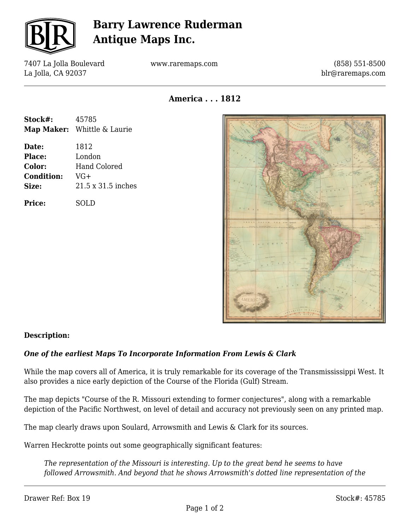

# **Barry Lawrence Ruderman Antique Maps Inc.**

7407 La Jolla Boulevard La Jolla, CA 92037

www.raremaps.com

(858) 551-8500 blr@raremaps.com

**America . . . 1812**

| Stock#:           | 45785                       |
|-------------------|-----------------------------|
|                   | Map Maker: Whittle & Laurie |
| Date:             | 1812                        |
| <b>Place:</b>     | London                      |
| Color:            | Hand Colored                |
| <b>Condition:</b> | VG+                         |
| Size:             | 21.5 x 31.5 inches          |
| <b>Price:</b>     | SOLD                        |



### **Description:**

#### *One of the earliest Maps To Incorporate Information From Lewis & Clark*

While the map covers all of America, it is truly remarkable for its coverage of the Transmississippi West. It also provides a nice early depiction of the Course of the Florida (Gulf) Stream.

The map depicts "Course of the R. Missouri extending to former conjectures", along with a remarkable depiction of the Pacific Northwest, on level of detail and accuracy not previously seen on any printed map.

The map clearly draws upon Soulard, Arrowsmith and Lewis & Clark for its sources.

Warren Heckrotte points out some geographically significant features:

*The representation of the Missouri is interesting. Up to the great bend he seems to have followed Arrowsmith. And beyond that he shows Arrowsmith's dotted line representation of the*